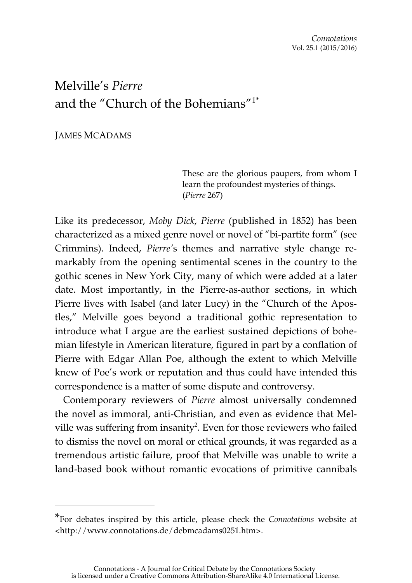# Melville's *Pierre*  and the "Church of the Bohemians"1\*

JAMES MCADAMS

 $\overline{a}$ 

These are the glorious paupers, from whom I learn the profoundest mysteries of things. (*Pierre* 267)

Like its predecessor, *Moby Dick*, *Pierre* (published in 1852) has been characterized as a mixed genre novel or novel of "bi-partite form" (see Crimmins). Indeed, *Pierre'*s themes and narrative style change remarkably from the opening sentimental scenes in the country to the gothic scenes in New York City, many of which were added at a later date. Most importantly, in the Pierre-as-author sections, in which Pierre lives with Isabel (and later Lucy) in the "Church of the Apostles," Melville goes beyond a traditional gothic representation to introduce what I argue are the earliest sustained depictions of bohemian lifestyle in American literature, figured in part by a conflation of Pierre with Edgar Allan Poe, although the extent to which Melville knew of Poe's work or reputation and thus could have intended this correspondence is a matter of some dispute and controversy.

Contemporary reviewers of *Pierre* almost universally condemned the novel as immoral, anti-Christian, and even as evidence that Melville was suffering from insanity<sup>2</sup>. Even for those reviewers who failed to dismiss the novel on moral or ethical grounds, it was regarded as a tremendous artistic failure, proof that Melville was unable to write a land-based book without romantic evocations of primitive cannibals

<sup>\*</sup>For debates inspired by this article, please check the *Connotations* website at <http://www.connotations.de/debmcadams0251.htm>.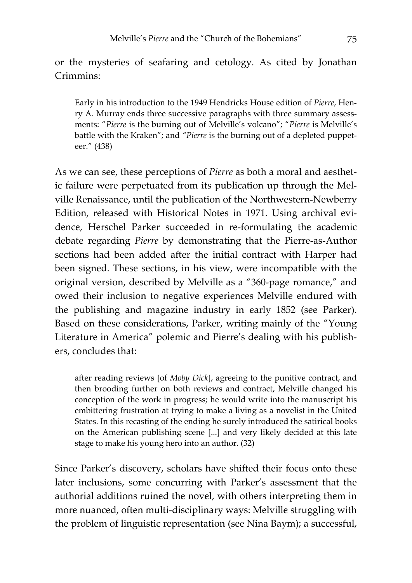or the mysteries of seafaring and cetology. As cited by Jonathan Crimmins:

Early in his introduction to the 1949 Hendricks House edition of *Pierre*, Henry A. Murray ends three successive paragraphs with three summary assessments: "*Pierre* is the burning out of Melville's volcano"; "*Pierre* is Melville's battle with the Kraken"; and *"Pierre* is the burning out of a depleted puppeteer." (438)

As we can see, these perceptions of *Pierre* as both a moral and aesthetic failure were perpetuated from its publication up through the Melville Renaissance, until the publication of the Northwestern-Newberry Edition, released with Historical Notes in 1971. Using archival evidence, Herschel Parker succeeded in re-formulating the academic debate regarding *Pierre* by demonstrating that the Pierre-as-Author sections had been added after the initial contract with Harper had been signed. These sections, in his view, were incompatible with the original version, described by Melville as a "360-page romance," and owed their inclusion to negative experiences Melville endured with the publishing and magazine industry in early 1852 (see Parker). Based on these considerations, Parker, writing mainly of the "Young Literature in America" polemic and Pierre's dealing with his publishers, concludes that:

after reading reviews [of *Moby Dick*], agreeing to the punitive contract, and then brooding further on both reviews and contract, Melville changed his conception of the work in progress; he would write into the manuscript his embittering frustration at trying to make a living as a novelist in the United States. In this recasting of the ending he surely introduced the satirical books on the American publishing scene [...] and very likely decided at this late stage to make his young hero into an author. (32)

Since Parker's discovery, scholars have shifted their focus onto these later inclusions, some concurring with Parker's assessment that the authorial additions ruined the novel, with others interpreting them in more nuanced, often multi-disciplinary ways: Melville struggling with the problem of linguistic representation (see Nina Baym); a successful,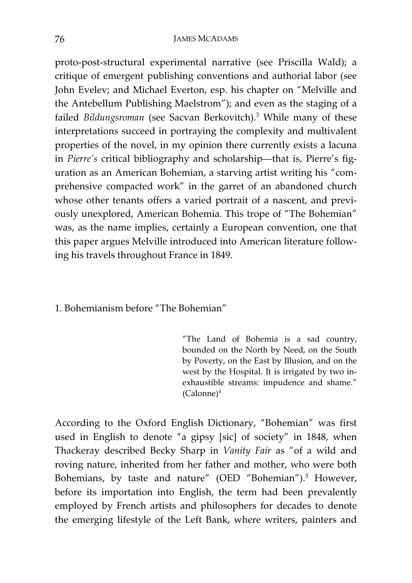### 76 JAMES MCADAMS

proto-post-structural experimental narrative (see Priscilla Wald); a critique of emergent publishing conventions and authorial labor (see John Evelev; and Michael Everton, esp. his chapter on "Melville and the Antebellum Publishing Maelstrom"); and even as the staging of a failed *Bildungsroman* (see Sacvan Berkovitch).3 While many of these interpretations succeed in portraying the complexity and multivalent properties of the novel, in my opinion there currently exists a lacuna in *Pierre's* critical bibliography and scholarship—that is, Pierre's figuration as an American Bohemian, a starving artist writing his "comprehensive compacted work" in the garret of an abandoned church whose other tenants offers a varied portrait of a nascent, and previously unexplored, American Bohemia. This trope of "The Bohemian" was, as the name implies, certainly a European convention, one that this paper argues Melville introduced into American literature following his travels throughout France in 1849.

1. Bohemianism before "The Bohemian"

"The Land of Bohemia is a sad country, bounded on the North by Need, on the South by Poverty, on the East by Illusion, and on the west by the Hospital. It is irrigated by two inexhaustible streams: impudence and shame."  $(Calonne)^4$ 

According to the Oxford English Dictionary, "Bohemian" was first used in English to denote "a gipsy [sic] of society" in 1848, when Thackeray described Becky Sharp in *Vanity Fair* as "of a wild and roving nature, inherited from her father and mother, who were both Bohemians, by taste and nature" (OED "Bohemian").<sup>5</sup> However, before its importation into English, the term had been prevalently employed by French artists and philosophers for decades to denote the emerging lifestyle of the Left Bank, where writers, painters and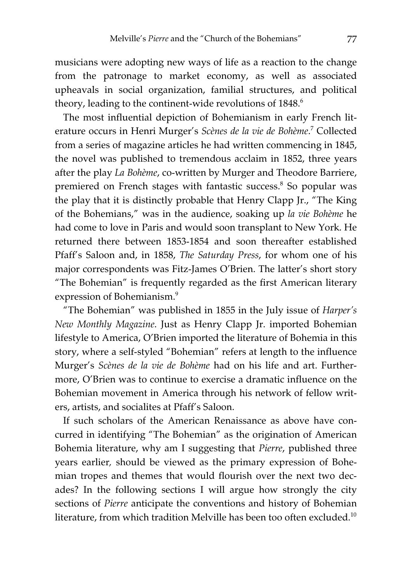musicians were adopting new ways of life as a reaction to the change from the patronage to market economy, as well as associated upheavals in social organization, familial structures, and political theory, leading to the continent-wide revolutions of 1848.<sup>6</sup>

The most influential depiction of Bohemianism in early French literature occurs in Henri Murger's Scènes de la vie de Bohème.<sup>7</sup> Collected from a series of magazine articles he had written commencing in 1845, the novel was published to tremendous acclaim in 1852, three years after the play *La Bohème*, co-written by Murger and Theodore Barriere, premiered on French stages with fantastic success.<sup>8</sup> So popular was the play that it is distinctly probable that Henry Clapp Jr., "The King of the Bohemians," was in the audience, soaking up *la vie Bohème* he had come to love in Paris and would soon transplant to New York. He returned there between 1853-1854 and soon thereafter established Pfaff's Saloon and, in 1858, *The Saturday Press*, for whom one of his major correspondents was Fitz-James O'Brien. The latter's short story "The Bohemian" is frequently regarded as the first American literary expression of Bohemianism.<sup>9</sup>

"The Bohemian" was published in 1855 in the July issue of *Harper's New Monthly Magazine*. Just as Henry Clapp Jr. imported Bohemian lifestyle to America, O'Brien imported the literature of Bohemia in this story, where a self-styled "Bohemian" refers at length to the influence Murger's *Scènes de la vie de Bohème* had on his life and art. Furthermore, O'Brien was to continue to exercise a dramatic influence on the Bohemian movement in America through his network of fellow writers, artists, and socialites at Pfaff's Saloon.

If such scholars of the American Renaissance as above have concurred in identifying "The Bohemian" as the origination of American Bohemia literature, why am I suggesting that *Pierre*, published three years earlier*,* should be viewed as the primary expression of Bohemian tropes and themes that would flourish over the next two decades? In the following sections I will argue how strongly the city sections of *Pierre* anticipate the conventions and history of Bohemian literature, from which tradition Melville has been too often excluded.10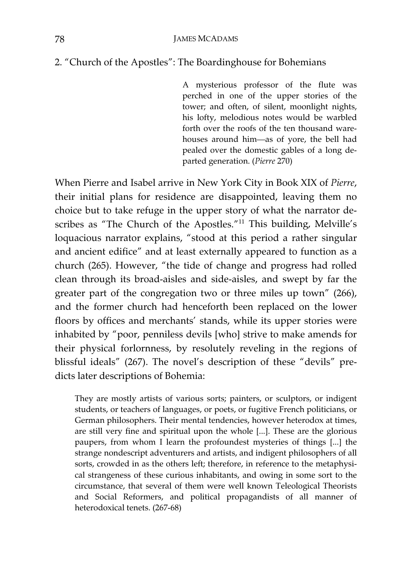# 2. "Church of the Apostles": The Boardinghouse for Bohemians

A mysterious professor of the flute was perched in one of the upper stories of the tower; and often, of silent, moonlight nights, his lofty, melodious notes would be warbled forth over the roofs of the ten thousand warehouses around him—as of yore, the bell had pealed over the domestic gables of a long departed generation. (*Pierre* 270)

When Pierre and Isabel arrive in New York City in Book XIX of *Pierre*, their initial plans for residence are disappointed, leaving them no choice but to take refuge in the upper story of what the narrator describes as "The Church of the Apostles."<sup>11</sup> This building, Melville's loquacious narrator explains, "stood at this period a rather singular and ancient edifice" and at least externally appeared to function as a church (265). However, "the tide of change and progress had rolled clean through its broad-aisles and side-aisles, and swept by far the greater part of the congregation two or three miles up town" (266), and the former church had henceforth been replaced on the lower floors by offices and merchants' stands, while its upper stories were inhabited by "poor, penniless devils [who] strive to make amends for their physical forlornness, by resolutely reveling in the regions of blissful ideals" (267). The novel's description of these "devils" predicts later descriptions of Bohemia:

They are mostly artists of various sorts; painters, or sculptors, or indigent students, or teachers of languages, or poets, or fugitive French politicians, or German philosophers. Their mental tendencies, however heterodox at times, are still very fine and spiritual upon the whole [...]. These are the glorious paupers, from whom I learn the profoundest mysteries of things [...] the strange nondescript adventurers and artists, and indigent philosophers of all sorts, crowded in as the others left; therefore, in reference to the metaphysical strangeness of these curious inhabitants, and owing in some sort to the circumstance, that several of them were well known Teleological Theorists and Social Reformers, and political propagandists of all manner of heterodoxical tenets. (267-68)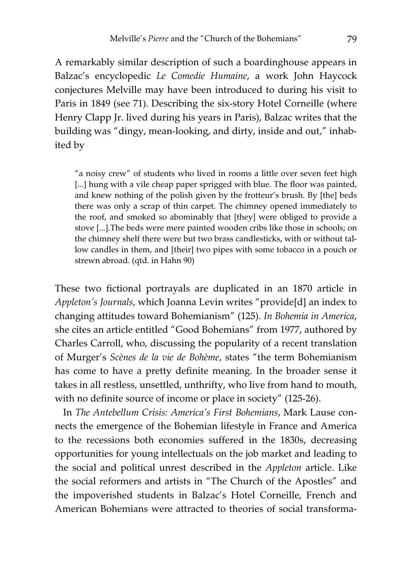A remarkably similar description of such a boardinghouse appears in Balzac's encyclopedic *Le Comedie Humaine*, a work John Haycock conjectures Melville may have been introduced to during his visit to Paris in 1849 (see 71). Describing the six-story Hotel Corneille (where Henry Clapp Jr. lived during his years in Paris), Balzac writes that the building was "dingy, mean-looking, and dirty, inside and out," inhabited by

"a noisy crew" of students who lived in rooms a little over seven feet high [...] hung with a vile cheap paper sprigged with blue. The floor was painted, and knew nothing of the polish given by the frotteur's brush. By [the] beds there was only a scrap of thin carpet. The chimney opened immediately to the roof, and smoked so abominably that [they] were obliged to provide a stove [...].The beds were mere painted wooden cribs like those in schools; on the chimney shelf there were but two brass candlesticks, with or without tallow candles in them, and [their] two pipes with some tobacco in a pouch or strewn abroad. (qtd. in Hahn 90)

These two fictional portrayals are duplicated in an 1870 article in *Appleton's Journals*, which Joanna Levin writes "provide[d] an index to changing attitudes toward Bohemianism" (125). *In Bohemia in America*, she cites an article entitled "Good Bohemians" from 1977, authored by Charles Carroll, who, discussing the popularity of a recent translation of Murger's *Scènes de la vie de Bohème*, states "the term Bohemianism has come to have a pretty definite meaning. In the broader sense it takes in all restless, unsettled, unthrifty, who live from hand to mouth, with no definite source of income or place in society" (125-26).

In *The Antebellum Crisis: America's First Bohemians*, Mark Lause connects the emergence of the Bohemian lifestyle in France and America to the recessions both economies suffered in the 1830s, decreasing opportunities for young intellectuals on the job market and leading to the social and political unrest described in the *Appleton* article. Like the social reformers and artists in "The Church of the Apostles" and the impoverished students in Balzac's Hotel Corneille, French and American Bohemians were attracted to theories of social transforma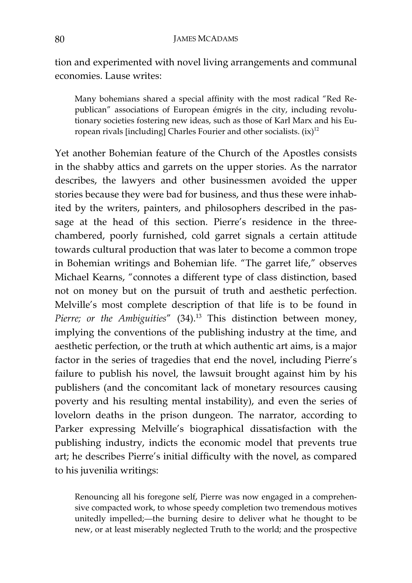tion and experimented with novel living arrangements and communal economies. Lause writes:

Many bohemians shared a special affinity with the most radical "Red Republican" associations of European émigrés in the city, including revolutionary societies fostering new ideas, such as those of Karl Marx and his European rivals [including] Charles Fourier and other socialists.  $(ix)^{12}$ 

Yet another Bohemian feature of the Church of the Apostles consists in the shabby attics and garrets on the upper stories. As the narrator describes, the lawyers and other businessmen avoided the upper stories because they were bad for business, and thus these were inhabited by the writers, painters, and philosophers described in the passage at the head of this section. Pierre's residence in the threechambered, poorly furnished, cold garret signals a certain attitude towards cultural production that was later to become a common trope in Bohemian writings and Bohemian life. "The garret life," observes Michael Kearns, "connotes a different type of class distinction, based not on money but on the pursuit of truth and aesthetic perfection. Melville's most complete description of that life is to be found in Pierre; or the Ambiguities" (34).<sup>13</sup> This distinction between money, implying the conventions of the publishing industry at the time, and aesthetic perfection, or the truth at which authentic art aims, is a major factor in the series of tragedies that end the novel, including Pierre's failure to publish his novel, the lawsuit brought against him by his publishers (and the concomitant lack of monetary resources causing poverty and his resulting mental instability), and even the series of lovelorn deaths in the prison dungeon. The narrator, according to Parker expressing Melville's biographical dissatisfaction with the publishing industry, indicts the economic model that prevents true art; he describes Pierre's initial difficulty with the novel, as compared to his juvenilia writings:

Renouncing all his foregone self, Pierre was now engaged in a comprehensive compacted work, to whose speedy completion two tremendous motives unitedly impelled;—the burning desire to deliver what he thought to be new, or at least miserably neglected Truth to the world; and the prospective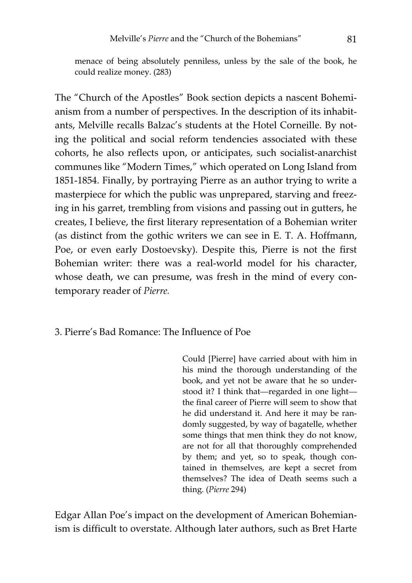menace of being absolutely penniless, unless by the sale of the book, he could realize money. (283)

The "Church of the Apostles" Book section depicts a nascent Bohemianism from a number of perspectives. In the description of its inhabitants, Melville recalls Balzac's students at the Hotel Corneille. By noting the political and social reform tendencies associated with these cohorts, he also reflects upon, or anticipates, such socialist-anarchist communes like "Modern Times," which operated on Long Island from 1851-1854. Finally, by portraying Pierre as an author trying to write a masterpiece for which the public was unprepared, starving and freezing in his garret, trembling from visions and passing out in gutters, he creates, I believe, the first literary representation of a Bohemian writer (as distinct from the gothic writers we can see in E. T. A. Hoffmann, Poe, or even early Dostoevsky). Despite this, Pierre is not the first Bohemian writer: there was a real-world model for his character, whose death, we can presume, was fresh in the mind of every contemporary reader of *Pierre.* 

3. Pierre's Bad Romance: The Influence of Poe

Could [Pierre] have carried about with him in his mind the thorough understanding of the book, and yet not be aware that he so understood it? I think that—regarded in one light the final career of Pierre will seem to show that he did understand it. And here it may be randomly suggested, by way of bagatelle, whether some things that men think they do not know, are not for all that thoroughly comprehended by them; and yet, so to speak, though contained in themselves, are kept a secret from themselves? The idea of Death seems such a thing. (*Pierre* 294)

Edgar Allan Poe's impact on the development of American Bohemianism is difficult to overstate. Although later authors, such as Bret Harte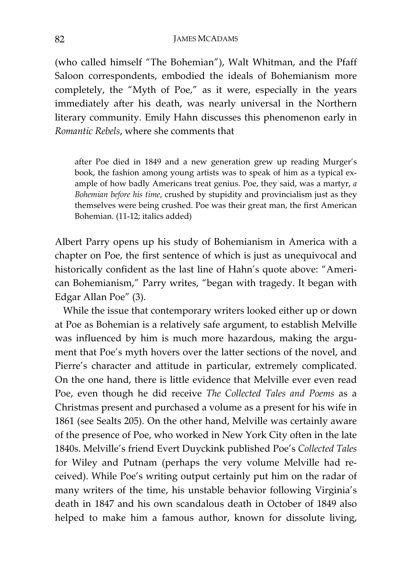#### 82 JAMES MCADAMS

(who called himself "The Bohemian"), Walt Whitman, and the Pfaff Saloon correspondents, embodied the ideals of Bohemianism more completely, the "Myth of Poe," as it were, especially in the years immediately after his death, was nearly universal in the Northern literary community. Emily Hahn discusses this phenomenon early in *Romantic Rebels*, where she comments that

after Poe died in 1849 and a new generation grew up reading Murger's book, the fashion among young artists was to speak of him as a typical example of how badly Americans treat genius. Poe, they said, was a martyr, *a Bohemian before his time*, crushed by stupidity and provincialism just as they themselves were being crushed. Poe was their great man, the first American Bohemian. (11-12; italics added)

Albert Parry opens up his study of Bohemianism in America with a chapter on Poe, the first sentence of which is just as unequivocal and historically confident as the last line of Hahn's quote above: "American Bohemianism," Parry writes, "began with tragedy. It began with Edgar Allan Poe" (3).

While the issue that contemporary writers looked either up or down at Poe as Bohemian is a relatively safe argument, to establish Melville was influenced by him is much more hazardous, making the argument that Poe's myth hovers over the latter sections of the novel, and Pierre's character and attitude in particular, extremely complicated. On the one hand, there is little evidence that Melville ever even read Poe, even though he did receive *The Collected Tales and Poems* as a Christmas present and purchased a volume as a present for his wife in 1861 (see Sealts 205). On the other hand, Melville was certainly aware of the presence of Poe, who worked in New York City often in the late 1840s. Melville's friend Evert Duyckink published Poe's *Collected Tales*  for Wiley and Putnam (perhaps the very volume Melville had received). While Poe's writing output certainly put him on the radar of many writers of the time, his unstable behavior following Virginia's death in 1847 and his own scandalous death in October of 1849 also helped to make him a famous author, known for dissolute living,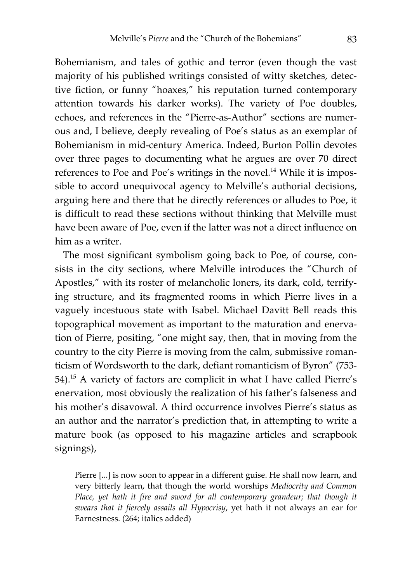Bohemianism, and tales of gothic and terror (even though the vast majority of his published writings consisted of witty sketches, detective fiction, or funny "hoaxes," his reputation turned contemporary attention towards his darker works). The variety of Poe doubles, echoes, and references in the "Pierre-as-Author" sections are numerous and, I believe, deeply revealing of Poe's status as an exemplar of Bohemianism in mid-century America. Indeed, Burton Pollin devotes over three pages to documenting what he argues are over 70 direct references to Poe and Poe's writings in the novel.<sup>14</sup> While it is impossible to accord unequivocal agency to Melville's authorial decisions, arguing here and there that he directly references or alludes to Poe, it is difficult to read these sections without thinking that Melville must have been aware of Poe, even if the latter was not a direct influence on him as a writer.

The most significant symbolism going back to Poe, of course, consists in the city sections, where Melville introduces the "Church of Apostles," with its roster of melancholic loners, its dark, cold, terrifying structure, and its fragmented rooms in which Pierre lives in a vaguely incestuous state with Isabel. Michael Davitt Bell reads this topographical movement as important to the maturation and enervation of Pierre, positing, "one might say, then, that in moving from the country to the city Pierre is moving from the calm, submissive romanticism of Wordsworth to the dark, defiant romanticism of Byron" (753- 54).15 A variety of factors are complicit in what I have called Pierre's enervation, most obviously the realization of his father's falseness and his mother's disavowal. A third occurrence involves Pierre's status as an author and the narrator's prediction that, in attempting to write a mature book (as opposed to his magazine articles and scrapbook signings),

Pierre [...] is now soon to appear in a different guise. He shall now learn, and very bitterly learn, that though the world worships *Mediocrity and Common Place, yet hath it fire and sword for all contemporary grandeur; that though it swears that it fiercely assails all Hypocrisy*, yet hath it not always an ear for Earnestness. (264; italics added)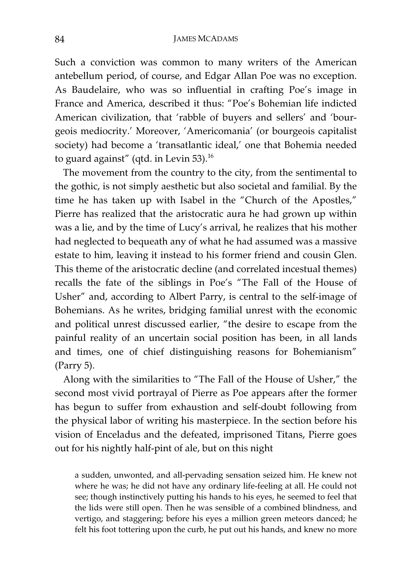Such a conviction was common to many writers of the American antebellum period, of course, and Edgar Allan Poe was no exception. As Baudelaire, who was so influential in crafting Poe's image in France and America, described it thus: "Poe's Bohemian life indicted American civilization, that 'rabble of buyers and sellers' and 'bourgeois mediocrity.' Moreover, 'Americomania' (or bourgeois capitalist society) had become a 'transatlantic ideal,' one that Bohemia needed to guard against" (qtd. in Levin  $53$ ).<sup>16</sup>

The movement from the country to the city, from the sentimental to the gothic, is not simply aesthetic but also societal and familial. By the time he has taken up with Isabel in the "Church of the Apostles," Pierre has realized that the aristocratic aura he had grown up within was a lie, and by the time of Lucy's arrival, he realizes that his mother had neglected to bequeath any of what he had assumed was a massive estate to him, leaving it instead to his former friend and cousin Glen. This theme of the aristocratic decline (and correlated incestual themes) recalls the fate of the siblings in Poe's "The Fall of the House of Usher" and, according to Albert Parry, is central to the self-image of Bohemians. As he writes, bridging familial unrest with the economic and political unrest discussed earlier, "the desire to escape from the painful reality of an uncertain social position has been, in all lands and times, one of chief distinguishing reasons for Bohemianism" (Parry 5).

Along with the similarities to "The Fall of the House of Usher," the second most vivid portrayal of Pierre as Poe appears after the former has begun to suffer from exhaustion and self-doubt following from the physical labor of writing his masterpiece. In the section before his vision of Enceladus and the defeated, imprisoned Titans, Pierre goes out for his nightly half-pint of ale, but on this night

a sudden, unwonted, and all-pervading sensation seized him. He knew not where he was; he did not have any ordinary life-feeling at all. He could not see; though instinctively putting his hands to his eyes, he seemed to feel that the lids were still open. Then he was sensible of a combined blindness, and vertigo, and staggering; before his eyes a million green meteors danced; he felt his foot tottering upon the curb, he put out his hands, and knew no more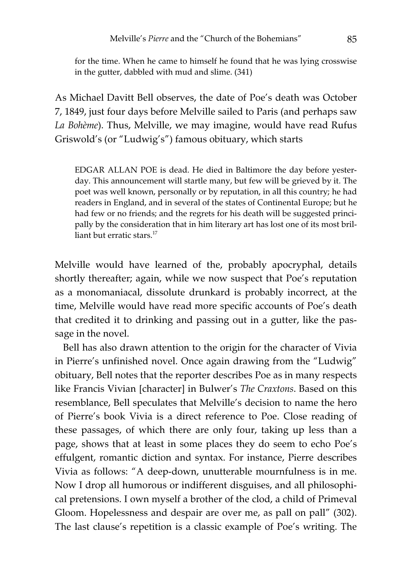for the time. When he came to himself he found that he was lying crosswise in the gutter, dabbled with mud and slime. (341)

As Michael Davitt Bell observes, the date of Poe's death was October 7, 1849, just four days before Melville sailed to Paris (and perhaps saw *La Bohème*). Thus, Melville, we may imagine, would have read Rufus Griswold's (or "Ludwig's") famous obituary, which starts

EDGAR ALLAN POE is dead. He died in Baltimore the day before yesterday. This announcement will startle many, but few will be grieved by it. The poet was well known, personally or by reputation, in all this country; he had readers in England, and in several of the states of Continental Europe; but he had few or no friends; and the regrets for his death will be suggested principally by the consideration that in him literary art has lost one of its most brilliant but erratic stars.<sup>17</sup>

Melville would have learned of the, probably apocryphal, details shortly thereafter; again, while we now suspect that Poe's reputation as a monomaniacal, dissolute drunkard is probably incorrect, at the time, Melville would have read more specific accounts of Poe's death that credited it to drinking and passing out in a gutter, like the passage in the novel.

Bell has also drawn attention to the origin for the character of Vivia in Pierre's unfinished novel. Once again drawing from the "Ludwig" obituary, Bell notes that the reporter describes Poe as in many respects like Francis Vivian [character] in Bulwer's *The Craxtons*. Based on this resemblance, Bell speculates that Melville's decision to name the hero of Pierre's book Vivia is a direct reference to Poe. Close reading of these passages, of which there are only four, taking up less than a page, shows that at least in some places they do seem to echo Poe's effulgent, romantic diction and syntax. For instance, Pierre describes Vivia as follows: "A deep-down, unutterable mournfulness is in me. Now I drop all humorous or indifferent disguises, and all philosophical pretensions. I own myself a brother of the clod, a child of Primeval Gloom. Hopelessness and despair are over me, as pall on pall" (302). The last clause's repetition is a classic example of Poe's writing. The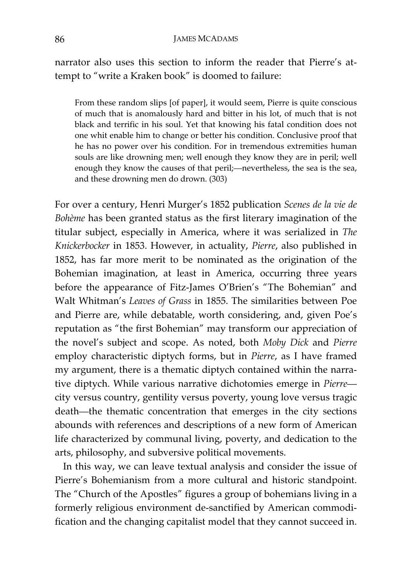#### 86 JAMES MCADAMS

narrator also uses this section to inform the reader that Pierre's attempt to "write a Kraken book" is doomed to failure:

From these random slips [of paper], it would seem, Pierre is quite conscious of much that is anomalously hard and bitter in his lot, of much that is not black and terrific in his soul. Yet that knowing his fatal condition does not one whit enable him to change or better his condition. Conclusive proof that he has no power over his condition. For in tremendous extremities human souls are like drowning men; well enough they know they are in peril; well enough they know the causes of that peril;—nevertheless, the sea is the sea, and these drowning men do drown. (303)

For over a century, Henri Murger's 1852 publication *Scenes de la vie de Bohème* has been granted status as the first literary imagination of the titular subject, especially in America, where it was serialized in *The Knickerbocker* in 1853. However, in actuality, *Pierre*, also published in 1852, has far more merit to be nominated as the origination of the Bohemian imagination, at least in America, occurring three years before the appearance of Fitz-James O'Brien's "The Bohemian" and Walt Whitman's *Leaves of Grass* in 1855. The similarities between Poe and Pierre are, while debatable, worth considering, and, given Poe's reputation as "the first Bohemian" may transform our appreciation of the novel's subject and scope. As noted, both *Moby Dick* and *Pierre* employ characteristic diptych forms, but in *Pierre*, as I have framed my argument, there is a thematic diptych contained within the narrative diptych. While various narrative dichotomies emerge in *Pierre* city versus country, gentility versus poverty, young love versus tragic death—the thematic concentration that emerges in the city sections abounds with references and descriptions of a new form of American life characterized by communal living, poverty, and dedication to the arts, philosophy, and subversive political movements.

In this way, we can leave textual analysis and consider the issue of Pierre's Bohemianism from a more cultural and historic standpoint. The "Church of the Apostles" figures a group of bohemians living in a formerly religious environment de-sanctified by American commodification and the changing capitalist model that they cannot succeed in.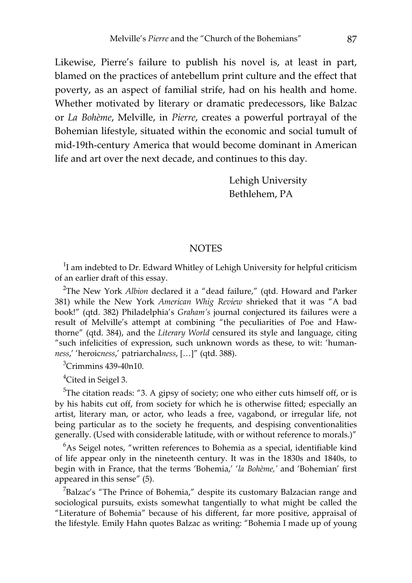Likewise, Pierre's failure to publish his novel is, at least in part, blamed on the practices of antebellum print culture and the effect that poverty, as an aspect of familial strife, had on his health and home. Whether motivated by literary or dramatic predecessors, like Balzac or *La Bohème*, Melville, in *Pierre*, creates a powerful portrayal of the Bohemian lifestyle, situated within the economic and social tumult of mid-19th-century America that would become dominant in American life and art over the next decade, and continues to this day.

> Lehigh University Bethlehem, PA

# **NOTES**

 $1$ I am indebted to Dr. Edward Whitley of Lehigh University for helpful criticism of an earlier draft of this essay.

<sup>2</sup>The New York *Albion* declared it a "dead failure," (qtd. Howard and Parker 381) while the New York *American Whig Review* shrieked that it was "A bad book!" (qtd. 382) Philadelphia's *Graham's* journal conjectured its failures were a result of Melville's attempt at combining "the peculiarities of Poe and Hawthorne" (qtd. 384), and the *Literary World* censured its style and language, citing "such infelicities of expression, such unknown words as these, to wit: 'human*ness*,' 'heroic*ness*,' patriarchal*ness*, […]" (qtd. 388).

 ${}^{3}$ Crimmins 439-40n10.

<sup>4</sup>Cited in Seigel 3.

 $5$ The citation reads: "3. A gipsy of society; one who either cuts himself off, or is by his habits cut off, from society for which he is otherwise fitted; especially an artist, literary man, or actor, who leads a free, vagabond, or irregular life, not being particular as to the society he frequents, and despising conventionalities generally. (Used with considerable latitude, with or without reference to morals.)"

 $6$ As Seigel notes, "written references to Bohemia as a special, identifiable kind of life appear only in the nineteenth century. It was in the 1830s and 1840s, to begin with in France, that the terms 'Bohemia,' '*la Bohème,'* and 'Bohemian' first appeared in this sense" (5).

 $\sigma$ Balzac's "The Prince of Bohemia," despite its customary Balzacian range and sociological pursuits, exists somewhat tangentially to what might be called the "Literature of Bohemia" because of his different, far more positive, appraisal of the lifestyle. Emily Hahn quotes Balzac as writing: "Bohemia I made up of young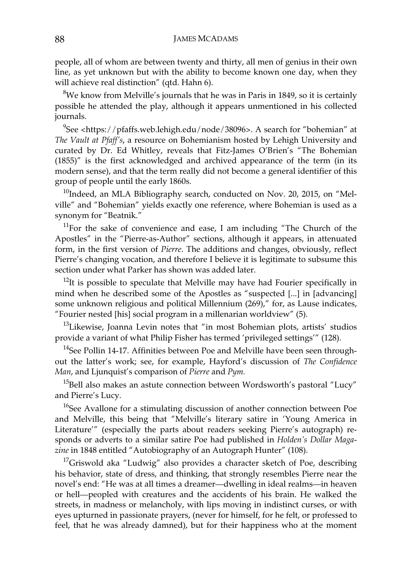people, all of whom are between twenty and thirty, all men of genius in their own line, as yet unknown but with the ability to become known one day, when they will achieve real distinction" (qtd. Hahn 6).

 $8$ We know from Melville's journals that he was in Paris in 1849, so it is certainly possible he attended the play, although it appears unmentioned in his collected journals.

 $9$ See <https://pfaffs.web.lehigh.edu/node/38096>. A search for "bohemian" at *The Vault at Pfaff's*, a resource on Bohemianism hosted by Lehigh University and curated by Dr. Ed Whitley, reveals that Fitz-James O'Brien's "The Bohemian (1855)" is the first acknowledged and archived appearance of the term (in its modern sense), and that the term really did not become a general identifier of this group of people until the early 1860s.

 $10$ Indeed, an MLA Bibliography search, conducted on Nov. 20, 2015, on "Melville" and "Bohemian" yields exactly one reference, where Bohemian is used as a synonym for "Beatnik."

 $11$ For the sake of convenience and ease, I am including "The Church of the Apostles" in the "Pierre-as-Author" sections, although it appears, in attenuated form, in the first version of *Pierre*. The additions and changes, obviously, reflect Pierre's changing vocation, and therefore I believe it is legitimate to subsume this section under what Parker has shown was added later.

 $12$ It is possible to speculate that Melville may have had Fourier specifically in mind when he described some of the Apostles as "suspected [...] in [advancing] some unknown religious and political Millennium (269)," for, as Lause indicates, "Fourier nested [his] social program in a millenarian worldview" (5).

 $13$ Likewise, Joanna Levin notes that "in most Bohemian plots, artists' studios provide a variant of what Philip Fisher has termed 'privileged settings'" (128).

<sup>14</sup>See Pollin 14-17. Affinities between Poe and Melville have been seen throughout the latter's work; see, for example, Hayford's discussion of *The Confidence Man*, and Ljunquist's comparison of *Pierre* and *Pym.* 

 $15$ Bell also makes an astute connection between Wordsworth's pastoral "Lucy" and Pierre's Lucy.

<sup>16</sup>See Avallone for a stimulating discussion of another connection between Poe and Melville, this being that "Melville's literary satire in 'Young America in Literature'" (especially the parts about readers seeking Pierre's autograph) responds or adverts to a similar satire Poe had published in *Holden's Dollar Magazine* in 1848 entitled "Autobiography of an Autograph Hunter" (108).

<sup>17</sup>Griswold aka "Ludwig" also provides a character sketch of Poe, describing his behavior, state of dress, and thinking, that strongly resembles Pierre near the novel's end: "He was at all times a dreamer—dwelling in ideal realms—in heaven or hell—peopled with creatures and the accidents of his brain. He walked the streets, in madness or melancholy, with lips moving in indistinct curses, or with eyes upturned in passionate prayers, (never for himself, for he felt, or professed to feel, that he was already damned), but for their happiness who at the moment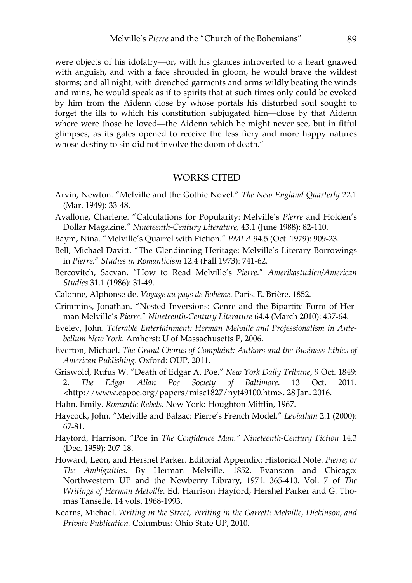were objects of his idolatry—or, with his glances introverted to a heart gnawed with anguish, and with a face shrouded in gloom, he would brave the wildest storms; and all night, with drenched garments and arms wildly beating the winds and rains, he would speak as if to spirits that at such times only could be evoked by him from the Aidenn close by whose portals his disturbed soul sought to forget the ills to which his constitution subjugated him—close by that Aidenn where were those he loved—the Aidenn which he might never see, but in fitful glimpses, as its gates opened to receive the less fiery and more happy natures whose destiny to sin did not involve the doom of death."

# WORKS CITED

- Arvin, Newton. "Melville and the Gothic Novel." *The New England Quarterly* 22.1 (Mar. 1949): 33-48.
- Avallone, Charlene. "Calculations for Popularity: Melville's *Pierre* and Holden's Dollar Magazine." *Nineteenth-Century Literature,* 43.1 (June 1988): 82-110.
- Baym, Nina. "Melville's Quarrel with Fiction." *PMLA* 94.5 (Oct. 1979): 909-23.
- Bell, Michael Davitt. "The Glendinning Heritage: Melville's Literary Borrowings in *Pierre.*" *Studies in Romanticism* 12.4 (Fall 1973): 741-62.
- Bercovitch, Sacvan. "How to Read Melville's *Pierre*." *Amerikastudien/American Studies* 31.1 (1986): 31-49.
- Calonne, Alphonse de. *Voyage au pays de Bohème.* Paris. E. Brière, 1852.
- Crimmins, Jonathan. "Nested Inversions: Genre and the Bipartite Form of Herman Melville's *Pierre*." *Nineteenth-Century Literature* 64.4 (March 2010): 437-64.
- Evelev, John. *Tolerable Entertainment: Herman Melville and Professionalism in Antebellum New York*. Amherst: U of Massachusetts P, 2006.
- Everton, Michael. *The Grand Chorus of Complaint: Authors and the Business Ethics of American Publishing*. Oxford: OUP, 2011.
- Griswold, Rufus W. "Death of Edgar A. Poe." *New York Daily Tribune*, 9 Oct. 1849: 2. *The Edgar Allan Poe Society of Baltimore*. 13 Oct. 2011. <http://www.eapoe.org/papers/misc1827/nyt49100.htm>. 28 Jan. 2016.
- Hahn, Emily. *Romantic Rebels*. New York: Houghton Mifflin, 1967.
- Haycock, John. "Melville and Balzac: Pierre's French Model." *Leviathan* 2.1 (2000): 67-81.
- Hayford, Harrison. "Poe in *The Confidence Man." Nineteenth-Century Fiction* 14.3 (Dec. 1959): 207-18.
- Howard, Leon, and Hershel Parker. Editorial Appendix: Historical Note. *Pierre; or The Ambiguities*. By Herman Melville. 1852. Evanston and Chicago: Northwestern UP and the Newberry Library, 1971. 365-410. Vol. 7 of *The Writings of Herman Melville*. Ed. Harrison Hayford, Hershel Parker and G. Thomas Tanselle. 14 vols. 1968-1993.
- Kearns, Michael. *Writing in the Street, Writing in the Garrett: Melville, Dickinson, and Private Publication.* Columbus: Ohio State UP, 2010.